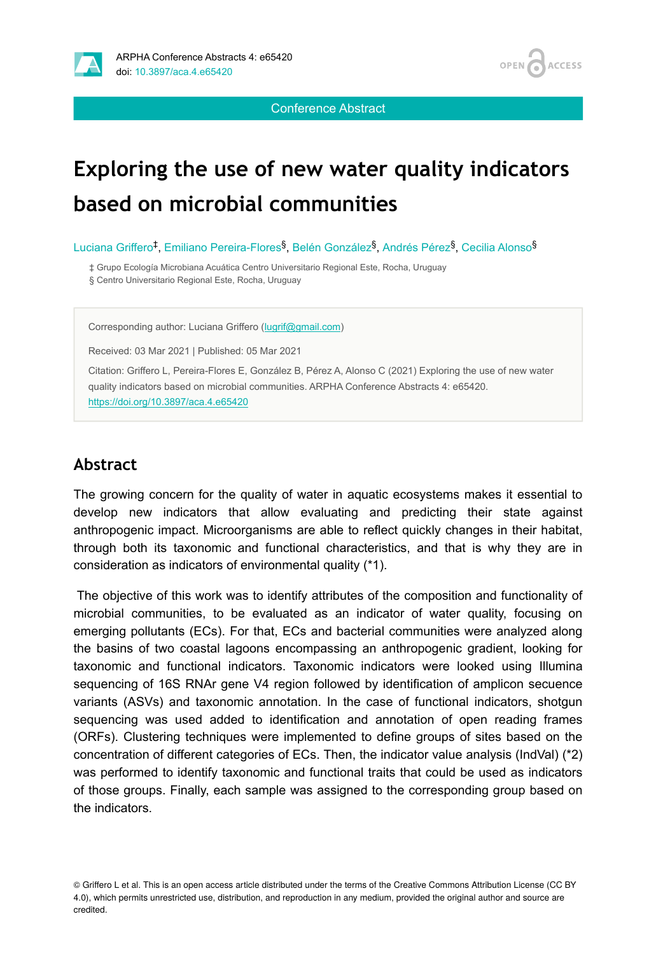

OPEN / **ACCESS** 

Conference Abstract

# **Exploring the use of new water quality indicators based on microbial communities**

Luciana Griffero<sup>‡</sup>, Emiliano Pereira-Flores<sup>§</sup>, Belén González<sup>§</sup>, Andrés Pérez<sup>§</sup>, Cecilia Alonso<sup>§</sup>

‡ Grupo Ecología Microbiana Acuática Centro Universitario Regional Este, Rocha, Uruguay

§ Centro Universitario Regional Este, Rocha, Uruguay

Corresponding author: Luciana Griffero [\(lugrif@gmail.com\)](mailto:lugrif@gmail.com)

Received: 03 Mar 2021 | Published: 05 Mar 2021

Citation: Griffero L, Pereira-Flores E, González B, Pérez A, Alonso C (2021) Exploring the use of new water quality indicators based on microbial communities. ARPHA Conference Abstracts 4: e65420. <https://doi.org/10.3897/aca.4.e65420>

# **Abstract**

The growing concern for the quality of water in aquatic ecosystems makes it essential to develop new indicators that allow evaluating and predicting their state against anthropogenic impact. Microorganisms are able to reflect quickly changes in their habitat, through both its taxonomic and functional characteristics, and that is why they are in consideration as indicators of environmental quality (\*1).

The objective of this work was to identify attributes of the composition and functionality of microbial communities, to be evaluated as an indicator of water quality, focusing on emerging pollutants (ECs). For that, ECs and bacterial communities were analyzed along the basins of two coastal lagoons encompassing an anthropogenic gradient, looking for taxonomic and functional indicators. Taxonomic indicators were looked using Illumina sequencing of 16S RNAr gene V4 region followed by identification of amplicon secuence variants (ASVs) and taxonomic annotation. In the case of functional indicators, shotgun sequencing was used added to identification and annotation of open reading frames (ORFs). Clustering techniques were implemented to define groups of sites based on the concentration of different categories of ECs. Then, the indicator value analysis (IndVal) (\*2) was performed to identify taxonomic and functional traits that could be used as indicators of those groups. Finally, each sample was assigned to the corresponding group based on the indicators.

<sup>©</sup> Griffero L et al. This is an open access article distributed under the terms of the Creative Commons Attribution License (CC BY 4.0), which permits unrestricted use, distribution, and reproduction in any medium, provided the original author and source are credited.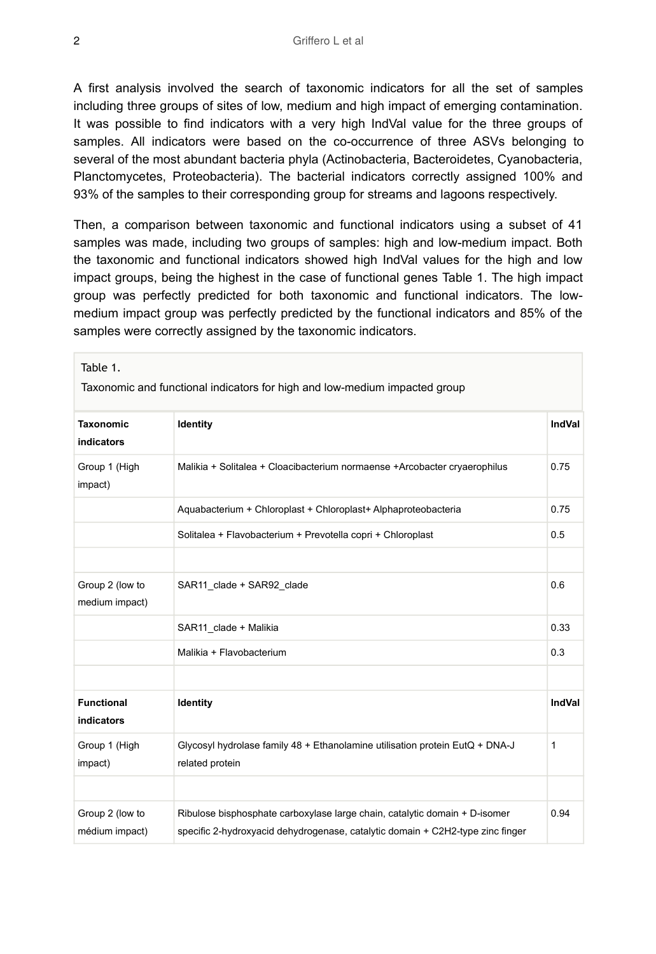A first analysis involved the search of taxonomic indicators for all the set of samples including three groups of sites of low, medium and high impact of emerging contamination. It was possible to find indicators with a very high IndVal value for the three groups of samples. All indicators were based on the co-occurrence of three ASVs belonging to several of the most abundant bacteria phyla (Actinobacteria, Bacteroidetes, Cyanobacteria, Planctomycetes, Proteobacteria). The bacterial indicators correctly assigned 100% and 93% of the samples to their corresponding group for streams and lagoons respectively.

Then, a comparison between taxonomic and functional indicators using a subset of 41 samples was made, including two groups of samples: high and low-medium impact. Both the taxonomic and functional indicators showed high IndVal values for the high and low impact groups, being the highest in the case of functional genes Table 1. The high impact group was perfectly predicted for both taxonomic and functional indicators. The lowmedium impact group was perfectly predicted by the functional indicators and 85% of the samples were correctly assigned by the taxonomic indicators.

| Taxonomic and functional indicators for high and low-medium impacted group |                                                                                                                                                              |               |
|----------------------------------------------------------------------------|--------------------------------------------------------------------------------------------------------------------------------------------------------------|---------------|
| <b>Taxonomic</b><br>indicators                                             | Identity                                                                                                                                                     | <b>IndVal</b> |
| Group 1 (High<br>impact)                                                   | Malikia + Solitalea + Cloacibacterium normaense +Arcobacter cryaerophilus                                                                                    | 0.75          |
|                                                                            | Aquabacterium + Chloroplast + Chloroplast+ Alphaproteobacteria                                                                                               | 0.75          |
|                                                                            | Solitalea + Flavobacterium + Prevotella copri + Chloroplast                                                                                                  | 0.5           |
|                                                                            |                                                                                                                                                              |               |
| Group 2 (low to<br>medium impact)                                          | SAR11 clade + SAR92 clade                                                                                                                                    | 0.6           |
|                                                                            | SAR11 clade + Malikia                                                                                                                                        | 0.33          |
|                                                                            | Malikia + Flavobacterium                                                                                                                                     | 0.3           |
|                                                                            |                                                                                                                                                              |               |
| <b>Functional</b><br>indicators                                            | Identity                                                                                                                                                     | <b>IndVal</b> |
| Group 1 (High<br>impact)                                                   | Glycosyl hydrolase family 48 + Ethanolamine utilisation protein EutQ + DNA-J<br>related protein                                                              | 1             |
|                                                                            |                                                                                                                                                              |               |
| Group 2 (low to<br>médium impact)                                          | Ribulose bisphosphate carboxylase large chain, catalytic domain + D-isomer<br>specific 2-hydroxyacid dehydrogenase, catalytic domain + C2H2-type zinc finger | 0.94          |

Table 1.